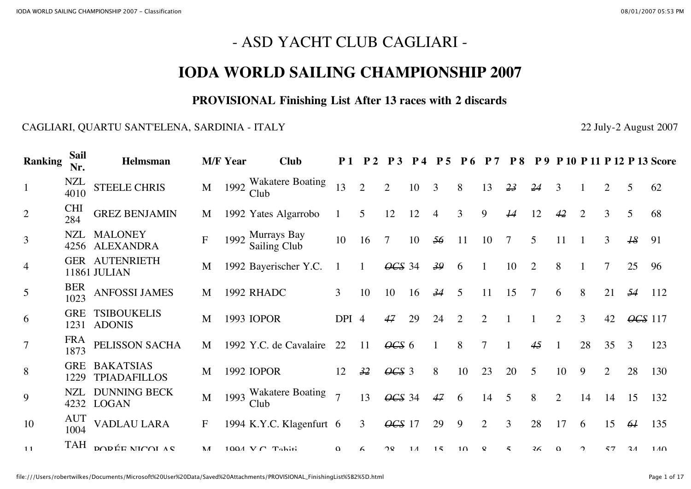# - ASD YACHT CLUB CAGLIARI -

## **IODA WORLD SAILING CHAMPIONSHIP 2007**

#### **PROVISIONAL Finishing List After 13 races with 2 discards**

#### CAGLIARI, QUARTU SANT'ELENA, SARDINIA - ITALY 22 July-2 August 2007

| <b>Ranking</b>  | Sail<br>Nr.        | Helmsman                                |                  | <b>M/F Year</b> | <b>Club</b>                      |                |                | P <sub>3</sub> | $\mathbf{p}$ 4 | $\mathbf{p}$ | <b>P6</b>       |                | <b>P8</b>       | $\bf p_9$      |                |                |                |                 | P 10 P 11 P 12 P 13 Score |
|-----------------|--------------------|-----------------------------------------|------------------|-----------------|----------------------------------|----------------|----------------|----------------|----------------|--------------|-----------------|----------------|-----------------|----------------|----------------|----------------|----------------|-----------------|---------------------------|
| $\mathbf{1}$    | NZL<br>4010        | <b>STEELE CHRIS</b>                     | M                |                 | 1992 Wakatere Boating<br>Club    | 13             | $\overline{2}$ | 2              | 10             | 3            | 8               | 13             | 23              | 24             | 3              |                | $\overline{2}$ | 5               | 62                        |
| 2               | <b>CHI</b><br>284  | <b>GREZ BENJAMIN</b>                    | M                |                 | 1992 Yates Algarrobo             |                | 5              | 12             | 12             | 4            | 3               | 9              | $\overline{14}$ | 12             | 42             | $\overline{2}$ | 3              | 5               | 68                        |
| 3               | NZL                | <b>MALONEY</b><br>4256 ALEXANDRA        | $\boldsymbol{F}$ |                 | 1992 Murrays Bay<br>Sailing Club | 10             | 16             | $\overline{7}$ | 10             | 56           | 11              | 10             |                 | 5              | 11             |                | 3              | $\overline{18}$ | 91                        |
| $\overline{4}$  |                    | <b>GER AUTENRIETH</b><br>11861 JULIAN   | M                |                 | 1992 Bayerischer Y.C.            |                |                | $\angle$ CS 34 |                | 39           | 6               |                | 10              | $\overline{2}$ | 8              |                |                | 25              | 96                        |
| 5               | <b>BER</b><br>1023 | <b>ANFOSSI JAMES</b>                    | M                |                 | 1992 RHADC                       | $\overline{3}$ | 10             | 10             | 16             | 34           | 5               | 11             | 15              |                | 6              | 8              | 21             | 54              | 112                       |
| 6               | <b>GRE</b>         | <b>TSIBOUKELIS</b><br>1231 ADONIS       | M                |                 | 1993 IOPOR                       | DPI 4          |                | 47             | 29             | 24           | $\overline{2}$  | $\overline{2}$ |                 |                | $\overline{2}$ | 3              | 42             | $\angle$ GS 117 |                           |
| $7\phantom{.0}$ | <b>FRA</b><br>1873 | PELISSON SACHA                          | M                |                 | 1992 Y.C. de Cavalaire           | 22             | <sup>11</sup>  | $\theta$ CS 6  |                |              | 8               |                |                 | 45             |                | 28             | 35             | 3               | 123                       |
| 8               | <b>GRE</b><br>1229 | <b>BAKATSIAS</b><br><b>TPIADAFILLOS</b> | M                |                 | 1992 IOPOR                       | 12             | 32             | $\theta$ CS 3  |                | 8            | 10 <sup>°</sup> | 23             | 20              | 5              | 10             | 9              | $\overline{2}$ | 28              | 130                       |
| 9               | NZL<br>4232        | <b>DUNNING BECK</b><br><b>LOGAN</b>     | M                |                 | 1993 Wakatere Boating<br>Club    | $\overline{7}$ | 13             | OCS 34         |                | 47           | 6               | 14             | 5               | 8              | $\overline{2}$ | 14             | 14             | 15              | 132                       |
| 10              | <b>AUT</b><br>1004 | <b>VADLAU LARA</b>                      | $\mathbf{F}$     |                 | 1994 K.Y.C. Klagenfurt 6         |                | 3              | $\angle$ CS 17 |                | 29           | 9               | 2              | 3               | 28             | 17             | 6              | 15             | 64              | 135                       |
| $-11$           | TAH                | DODÉE NICOI AS                          | $\mathbf{M}$     |                 | $100A$ V $C$ Tahiti              | $\Omega$       | Á              | 2Q             | $1\Lambda$     | 15           | 1 <sub>0</sub>  | $\mathbf{Q}$   | $\leq$          | 36             | $\Omega$       | ↑              | 57             | 2 <sub>1</sub>  | 140                       |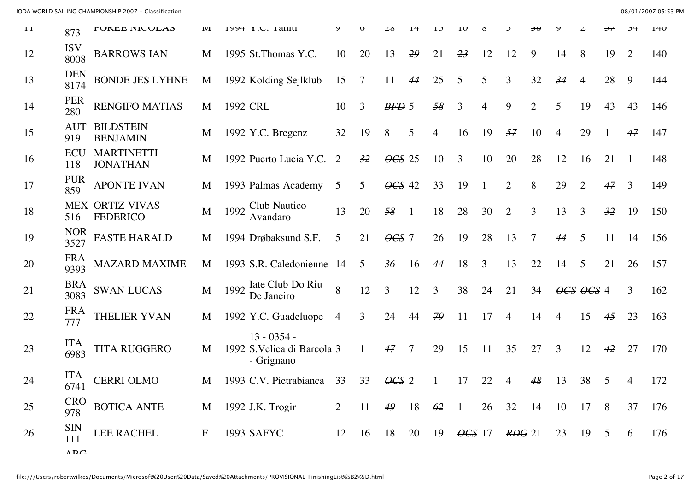| 11 | 873                                       | <b>LAUTE MICATUS</b>                      | 1V1         |          | 1774 I.U. I AIIIU                                          |                |    |                 |                |                |                          |                |                   |                |                |                             |                |    | $1 + U$ |
|----|-------------------------------------------|-------------------------------------------|-------------|----------|------------------------------------------------------------|----------------|----|-----------------|----------------|----------------|--------------------------|----------------|-------------------|----------------|----------------|-----------------------------|----------------|----|---------|
| 12 | <b>ISV</b><br>8008                        | <b>BARROWS IAN</b>                        | M           |          | 1995 St. Thomas Y.C.                                       | 10             | 20 | 13              | 29             | 21             | 23                       | 12             | 12                | 9              | 14             | 8                           | 19             | 2  | 140     |
| 13 | <b>DEN</b><br>8174                        | <b>BONDE JES LYHNE</b>                    | M           |          | 1992 Kolding Sejlklub                                      | 15             | 7  | 11              | 44             | 25             | 5                        | 5              | 3                 | 32             | 34             | $\overline{4}$              | 28             | 9  | 144     |
| 14 | <b>PER</b><br>280                         | <b>RENGIFO MATIAS</b>                     | M           | 1992 CRL |                                                            | 10             | 3  | $BFD$ 5         |                | 58             | 3                        | $\overline{4}$ | 9                 | $\overline{2}$ | 5              | 19                          | 43             | 43 | 146     |
| 15 | <b>AUT</b><br>919                         | <b>BILDSTEIN</b><br><b>BENJAMIN</b>       | M           |          | 1992 Y.C. Bregenz                                          | 32             | 19 | 8               | 5              | 4              | 16                       | 19             | 57                | 10             | 4              | 29                          |                | 47 | 147     |
| 16 | ECU<br>118                                | <b>MARTINETTI</b><br><b>JONATHAN</b>      | M           |          | 1992 Puerto Lucia Y.C.                                     | 2              | 32 | $\angle 4GS$ 25 |                | 10             | 3                        | 10             | 20                | 28             | 12             | 16                          | 21             |    | 148     |
| 17 | <b>PUR</b><br>859                         | <b>APONTE IVAN</b>                        | M           |          | 1993 Palmas Academy                                        | 5              | 5  | OCS 42          |                | 33             | 19                       |                | $\overline{2}$    | 8              | 29             | $\overline{2}$              | 47             | 3  | 149     |
| 18 | 516                                       | <b>MEX ORTIZ VIVAS</b><br><b>FEDERICO</b> | M           | 1992     | Club Nautico<br>Avandaro                                   | 13             | 20 | 58              | $\overline{1}$ | 18             | 28                       | 30             | $\overline{2}$    | 3              | 13             | 3                           | 32             | 19 | 150     |
| 19 | <b>NOR</b><br>3527                        | <b>FASTE HARALD</b>                       | M           |          | 1994 Drøbaksund S.F.                                       | 5              | 21 | $\angle$ CS 7   |                | 26             | 19                       | 28             | 13                | 7              | 44             | 5                           | 11             | 14 | 156     |
| 20 | <b>FRA</b><br>9393                        | <b>MAZARD MAXIME</b>                      | M           |          | 1993 S.R. Caledonienne                                     | -14            | 5  | 36              | 16             | 44             | 18                       | 3              | 13                | 22             | 14             | 5                           | 21             | 26 | 157     |
| 21 | <b>BRA</b><br>3083                        | <b>SWAN LUCAS</b>                         | M           |          | 1992 <sup>Iate</sup> Club Do Riu<br>De Janeiro             | 8              | 12 | $\mathfrak{Z}$  | 12             | $\overline{3}$ | 38                       | 24             | 21                | 34             |                | $\angle$ OCS $\angle$ OCS 4 |                | 3  | 162     |
| 22 | <b>FRA</b><br>777                         | <b>THELIER YVAN</b>                       | M           |          | 1992 Y.C. Guadeluope                                       | $\overline{4}$ | 3  | 24              | 44             | 79             | 11                       | 17             | 4                 | 14             | $\overline{4}$ | 15                          | 45             | 23 | 163     |
| 23 | <b>ITA</b><br>6983                        | <b>TITA RUGGERO</b>                       | M           |          | $13 - 0354 -$<br>1992 S. Velica di Barcola 3<br>- Grignano |                | 1  | 47              | $\overline{7}$ | 29             | 15                       | 11             | 35                | 27             | 3              | 12                          | 42             | 27 | 170     |
| 24 | <b>ITA</b><br>6741                        | <b>CERRI OLMO</b>                         | M           |          | 1993 C.V. Pietrabianca                                     | 33             | 33 | $\angle 0GS$ 2  |                |                |                          | 22             |                   | 48             | 13             | 38                          | 5              | 4  | 172     |
| 25 | <b>CRO</b><br>978                         | <b>BOTICA ANTE</b>                        | M           |          | 1992 J.K. Trogir                                           | $\overline{2}$ | 11 | 49              | 18             | 62             |                          | 26             | 32                | 14             | 10             | 17                          | 8              | 37 | 176     |
| 26 | <b>SIN</b><br>111<br>$\Lambda$ D $\Omega$ | LEE RACHEL                                | $\mathbf F$ |          | 1993 SAFYC                                                 | 12             | 16 | 18              | 20             |                | $19 \quad \text{OCS}$ 17 |                | $R\rightarrow$ 21 |                | 23             | 19                          | $\mathfrak{S}$ | 6  | 176     |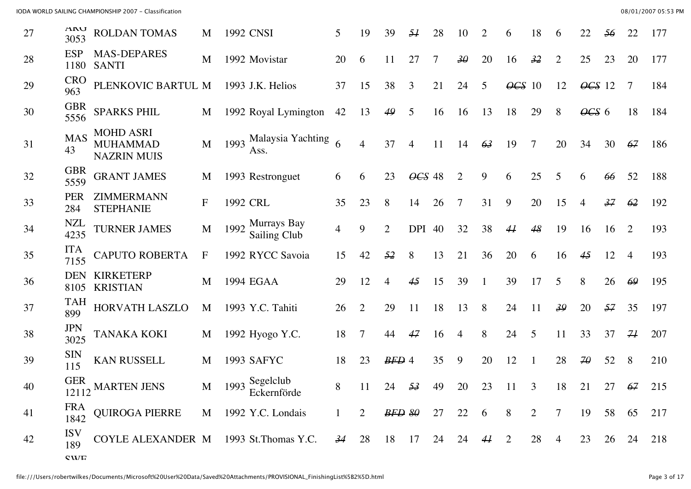| 27 | <b>UAN</b><br>3053     | <b>ROLDAN TOMAS</b>                                       | M                |      | 1992 CNSI                      | 5              | 19             | 39             | 51     | 28 | 10              |              | 6              | 18           | 6              | 22                   | 56 | 22             | 177 |
|----|------------------------|-----------------------------------------------------------|------------------|------|--------------------------------|----------------|----------------|----------------|--------|----|-----------------|--------------|----------------|--------------|----------------|----------------------|----|----------------|-----|
| 28 | <b>ESP</b><br>1180     | <b>MAS-DEPARES</b><br><b>SANTI</b>                        | M                |      | 1992 Movistar                  | 20             | 6              | 11             | 27     | 7  | $\overline{30}$ | 20           | 16             | 32           | $\overline{2}$ | 25                   | 23 | 20             | 177 |
| 29 | <b>CRO</b><br>963      | PLENKOVIC BARTUL M                                        |                  |      | 1993 J.K. Helios               | 37             | 15             | 38             | 3      | 21 | 24              | 5            | $\angle$ GS 10 |              | 12             | $\angle$ GS 12       |    | 7              | 184 |
| 30 | <b>GBR</b><br>5556     | <b>SPARKS PHIL</b>                                        | M                |      | 1992 Royal Lymington           | 42             | 13             | 49             | 5      | 16 | 16              | 13           | 18             | 29           | 8              | $\theta$ CS 6        |    | 18             | 184 |
| 31 | <b>MAS</b><br>43       | <b>MOHD ASRI</b><br><b>MUHAMMAD</b><br><b>NAZRIN MUIS</b> | M                |      | 1993 Malaysia Yachting<br>Ass. | 6              | $\overline{4}$ | 37             | 4      | 11 | 14              | 63           | 19             | 7            | 20             | 34                   | 30 | 67             | 186 |
| 32 | <b>GBR</b><br>5559     | <b>GRANT JAMES</b>                                        | M                |      | 1993 Restronguet               | 6              | 6              | 23             | OCS 48 |    | $\overline{2}$  | 9            | 6              | 25           | 5              | 6                    | 66 | 52             | 188 |
| 33 | <b>PER</b><br>284      | ZIMMERMANN<br><b>STEPHANIE</b>                            | $\mathbf{F}$     |      | 1992 CRL                       | 35             | 23             | 8              | 14     | 26 | 7               | 31           | 9              | 20           | 15             | $\overline{4}$       | 37 | 62             | 192 |
| 34 | <b>NZL</b><br>4235     | <b>TURNER JAMES</b>                                       | M                | 1992 | Murrays Bay<br>Sailing Club    | $\overline{4}$ | 9              | $\overline{2}$ | DPI 40 |    | 32              | 38           | 44             | 48           | 19             | 16                   | 16 | 2              | 193 |
| 35 | <b>ITA</b><br>7155     | <b>CAPUTO ROBERTA</b>                                     | $\boldsymbol{F}$ |      | 1992 RYCC Savoia               | 15             | 42             | 52             | 8      | 13 | 21              | 36           | 20             | 6            | 16             | 45                   | 12 | $\overline{4}$ | 193 |
| 36 | <b>DEN</b><br>8105     | <b>KIRKETERP</b><br><b>KRISTIAN</b>                       | M                |      | 1994 EGAA                      | 29             | 12             | $\overline{4}$ | 45     | 15 | 39              | 1            | 39             | 17           | 5              | 8                    | 26 | 69             | 195 |
| 37 | TAH<br>899             | HORVATH LASZLO                                            | M                |      | 1993 Y.C. Tahiti               | 26             | $\overline{2}$ | 29             | 11     | 18 | 13              | 8            | 24             | 11           | 39             | 20                   | 57 | 35             | 197 |
| 38 | <b>JPN</b><br>3025     | <b>TANAKA KOKI</b>                                        | M                |      | 1992 Hyogo Y.C.                | 18             | 7              | 44             | 47     | 16 | 4               | 8            | 24             | 5            | 11             | 33                   | 37 | 71             | 207 |
| 39 | <b>SIN</b><br>115      | <b>KAN RUSSELL</b>                                        | M                |      | 1993 SAFYC                     | 18             | 23             | $BFD$ 4        |        | 35 | 9               | 20           | 12             | $\mathbf{1}$ | 28             | $\overline{4\theta}$ | 52 | 8              | 210 |
| 40 |                        | 12112 MARTEN JENS                                         | M                |      | 1993 Segelclub<br>Eckernförde  | 8              | 11             | 24             | 53     | 49 | 20              | 23           | 11             | 3            | 18             | 21                   | 27 | 67             | 215 |
| 41 | FRA<br>1842            | QUIROGA PIERRE                                            |                  |      | M 1992 Y.C. Londais            | $\mathbf{1}$   | 2              | BFD 80         |        | 27 | 22              | 6            | 8              | 2            | 7              | 19                   | 58 | 65             | 217 |
| 42 | <b>ISV</b><br>189      | COYLE ALEXANDER M 1993 St. Thomas Y.C. 34 28              |                  |      |                                |                |                | 18 17          |        |    | 24 24           | $44 \quad 2$ |                | 28           | $\overline{4}$ | 23                   |    | 26 24          | 218 |
|    | $C$ <i>VI</i> $\Gamma$ |                                                           |                  |      |                                |                |                |                |        |    |                 |              |                |              |                |                      |    |                |     |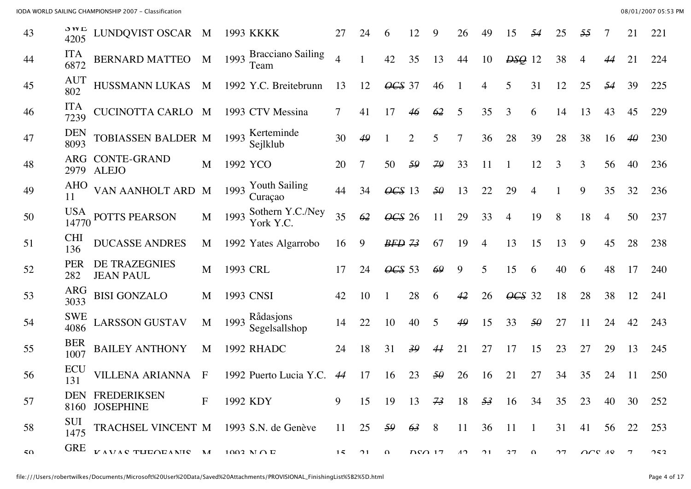| 43 | J VV L<br>4205     | LUNDQVIST OSCAR M                      |              |          | 1993 KKKK                        |                | 24 | $\mathfrak b$   |                |    | 26             | 49 | 15             |                |    |                                                   |                | 21             | 221 |
|----|--------------------|----------------------------------------|--------------|----------|----------------------------------|----------------|----|-----------------|----------------|----|----------------|----|----------------|----------------|----|---------------------------------------------------|----------------|----------------|-----|
| 44 | <b>ITA</b><br>6872 | <b>BERNARD MATTEO</b>                  | M            | 1993     | <b>Bracciano Sailing</b><br>Team | $\overline{4}$ |    | 42              | 35             | 13 | 44             | 10 | $DSQ$ 12       |                | 38 | 4                                                 | 44             | 21             | 224 |
| 45 | <b>AUT</b><br>802  | HUSSMANN LUKAS                         | M            |          | 1992 Y.C. Breitebrunn            | 13             | 12 | $\angle$ CS 37  |                | 46 |                | 4  | 5              | 31             | 12 | 25                                                | 54             | 39             | 225 |
| 46 | <b>ITA</b><br>7239 | CUCINOTTA CARLO M                      |              |          | 1993 CTV Messina                 | 7              | 41 | 17              | 46             | 62 | 5              | 35 | 3              | 6              | 14 | 13                                                | 43             | 45             | 229 |
| 47 | <b>DEN</b><br>8093 | TOBIASSEN BALDER M                     |              | 1993     | Kerteminde<br>Sejlklub           | 30             | 49 |                 | $\overline{2}$ | 5  | $\overline{7}$ | 36 | 28             | 39             | 28 | 38                                                | 16             | $4\theta$      | 230 |
| 48 | ARG<br>2979        | <b>CONTE-GRAND</b><br><b>ALEJO</b>     | M            |          | 1992 YCO                         | 20             |    | 50              | 59             | 79 | 33             | 11 |                | 12             | 3  | 3                                                 | 56             | 40             | 236 |
| 49 | <b>AHO</b><br>11   | VAN AANHOLT ARD M                      |              | 1993     | <b>Youth Sailing</b><br>Curaçao  | 44             | 34 | $\angle 0GS$ 13 |                | 50 | 13             | 22 | 29             | 4              |    | 9                                                 | 35             | 32             | 236 |
| 50 |                    | $\frac{10,15}{14770}$ POTTS PEARSON    | M            | 1993     | Sothern Y.C./Ney<br>York Y.C.    | 35             | 62 | $\angle 465$ 26 |                | 11 | 29             | 33 | 4              | 19             | 8  | 18                                                | $\overline{4}$ | 50             | 237 |
| 51 | <b>CHI</b><br>136  | <b>DUCASSE ANDRES</b>                  | M            |          | 1992 Yates Algarrobo             | 16             | 9  | $BFD$ $73$      |                | 67 | 19             | 4  | 13             | 15             | 13 | 9                                                 | 45             | 28             | 238 |
| 52 | <b>PER</b><br>282  | DE TRAZEGNIES<br><b>JEAN PAUL</b>      | M            | 1993 CRL |                                  | 17             | 24 | $\angle 665$ 53 |                | 69 | 9              | 5  | 15             | 6              | 40 | 6                                                 | 48             | 17             | 240 |
| 53 | <b>ARG</b><br>3033 | <b>BISI GONZALO</b>                    | M            |          | 1993 CNSI                        | 42             | 10 |                 | 28             | 6  | 42             | 26 | $\angle$ CS 32 |                | 18 | 28                                                | 38             | 12             | 241 |
| 54 | <b>SWE</b><br>4086 | <b>LARSSON GUSTAV</b>                  | M            | 1993     | Rådasjons<br>Segelsallshop       | 14             | 22 | 10              | 40             | 5  | 49             | 15 | 33             | $5\theta$      | 27 |                                                   | 24             | 42             | 243 |
| 55 | <b>BER</b><br>1007 | <b>BAILEY ANTHONY</b>                  | M            |          | 1992 RHADC                       | 24             | 18 | 31              | 39             | 44 | 21             | 27 | 17             | 15             | 23 | 27                                                | 29             | 13             | 245 |
| 56 | ECU<br>131         | <b>VILLENA ARIANNA</b>                 | $\mathbf{F}$ |          | 1992 Puerto Lucia Y.C.           | 44             | 17 | 16              | 23             | 50 | 26             | 16 | 21             | 27             | 34 | 35                                                | 24             | 11             | 250 |
| 57 |                    | DEN FREDERIKSEN<br>8160 JOSEPHINE      | $\mathbf{F}$ |          | 1992 KDY                         | 9              | 15 | 19              | 13             | 73 | 18             | 53 | 16             | 34             | 35 | 23                                                | 40             | 30             | 252 |
| 58 | <b>SUI</b><br>1475 | TRACHSEL VINCENT M 1993 S.N. de Genève |              |          |                                  | 11             | 25 | 59              | 63             | 8  | 11             | 36 | -11            | $\blacksquare$ | 31 | 41                                                | 56             | 22             | 253 |
| 50 | <b>GRE</b>         | <b>VAVAC THEOEANIC M</b>               |              |          | $1002$ N $\cap$ E                | 15             | 21 | $\Omega$        | $D\Omega$ 17   |    | $\Lambda$      | 21 | 27             | $\Omega$       | 27 | $\bigcap$ $\bigcap$ $\bigcap$ $\bigcap$ $\bigcap$ |                | $\overline{7}$ | 252 |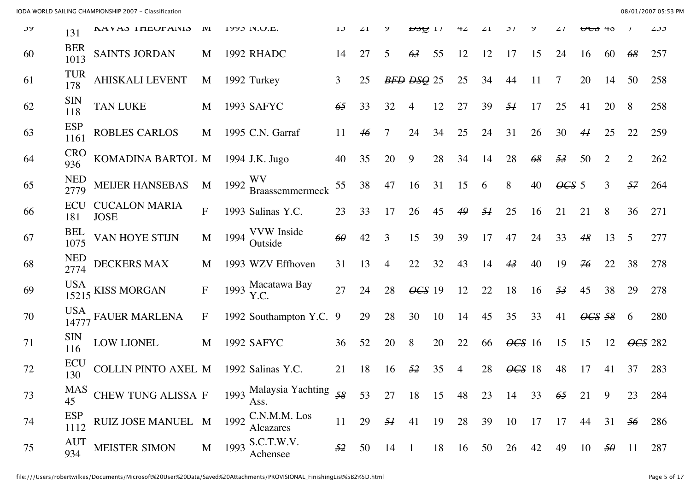| JГ | 131                 | LAVAJ ITLUI'ANIJ                    | <b>TAT</b>   |      | 177J IN.U.L.                   |    |    |              | <del>, ਇਹ ਦਾ</del> |    |    |    |                          |     |               |                |           |                | ر ر ۱ |
|----|---------------------|-------------------------------------|--------------|------|--------------------------------|----|----|--------------|--------------------|----|----|----|--------------------------|-----|---------------|----------------|-----------|----------------|-------|
| 60 | <b>BER</b><br>1013  | <b>SAINTS JORDAN</b>                | M            |      | 1992 RHADC                     | 14 | 27 | 5            | 63                 | 55 | 12 | 12 | 17                       | 15  | 24            | 16             | 60        | 68             | 257   |
| 61 | <b>TUR</b><br>178   | <b>AHISKALI LEVENT</b>              | M            |      | 1992 Turkey                    | 3  | 25 |              | BFD DSQ 25         |    | 25 | 34 | 44                       | 11  | 7             | 20             | 14        | 50             | 258   |
| 62 | <b>SIN</b><br>118   | <b>TAN LUKE</b>                     | M            |      | 1993 SAFYC                     | 65 | 33 | 32           | 4                  | 12 | 27 | 39 | 51                       | 17  | 25            | 41             | 20        | 8              | 258   |
| 63 | <b>ESP</b><br>1161  | <b>ROBLES CARLOS</b>                | M            |      | 1995 C.N. Garraf               | 11 | 46 | 7            | 24                 | 34 | 25 | 24 | 31                       | 26  | 30            | 44             | 25        | 22             | 259   |
| 64 | <b>CRO</b><br>936   | KOMADINA BARTOL M                   |              |      | 1994 J.K. Jugo                 | 40 | 35 | 20           | 9                  | 28 | 34 | 14 | 28                       | 68  | 53            | 50             | 2         | $\overline{2}$ | 262   |
| 65 | <b>NED</b><br>2779  | <b>MEIJER HANSEBAS</b>              | M            | 1992 | WV<br>Braassemmermeck          | 55 | 38 | 47           | 16                 | 31 | 15 | 6  | 8                        | 40  | $\theta$ CS 5 |                | 3         | 57             | 264   |
| 66 | ECU<br>181          | <b>CUCALON MARIA</b><br><b>JOSE</b> | $\mathbf{F}$ |      | 1993 Salinas Y.C.              | 23 | 33 | 17           | 26                 | 45 | 49 | 51 | 25                       | 16  | 21            | 21             | 8         | 36             | 271   |
| 67 | <b>BEL</b><br>1075  | VAN HOYE STIJN                      | M            | 1994 | <b>VVW</b> Inside<br>Outside   | 60 | 42 | 3            | 15                 | 39 | 39 | 17 | 47                       | 24  | 33            | 48             | 13        | 5              | 277   |
| 68 | <b>NED</b><br>2774  | DECKERS MAX                         | M            |      | 1993 WZV Effhoven              | 31 | 13 | 4            | 22                 | 32 | 43 | 14 | 43                       | 40  | 19            | 76             | 22        | 38             | 278   |
| 69 |                     | $\frac{15215}{15215}$ KISS MORGAN   | ${\bf F}$    |      | 1993 Macatawa Bay<br>Y.C.      | 27 | 24 | 28           | $\angle$ CS 19     |    | 12 | 22 | 18                       | 16  | 53            | 45             | 38        | 29             | 278   |
| 70 | <b>USA</b><br>14777 | <b>FAUER MARLENA</b>                | $\mathbf F$  |      | 1992 Southampton Y.C. 9        |    | 29 | 28           | 30                 | 10 | 14 | 45 | 35                       | 33  | 41            | $\angle$ CS 58 |           | 6              | 280   |
| 71 | <b>SIN</b><br>116   | <b>LOW LIONEL</b>                   | M            |      | 1992 SAFYC                     | 36 | 52 | 20           | 8                  | 20 | 22 | 66 | $\angle 0$ 6 $\angle 16$ |     | 15            | 15             | 12        | OCS 282        |       |
| 72 | ECU<br>130          | <b>COLLIN PINTO AXEL M</b>          |              |      | 1992 Salinas Y.C.              | 21 | 18 | 16           | 52                 | 35 | 4  | 28 | $\angle$                 | -18 | 48            | 17             | 41        | 37             | 283   |
| 73 | <b>MAS</b><br>45    | <b>CHEW TUNG ALISSA F</b>           |              |      | 1993 Malaysia Yachting<br>Ass. | 58 | 53 | 27           | 18                 | 15 | 48 | 23 | 14                       | 33  | 65            | 21             | 9         | 23             | 284   |
| 74 | <b>ESP</b><br>1112  | RUIZ JOSE MANUEL M                  |              | 1992 | C.N.M.M. Los<br>Alcazares      | 11 | 29 | 51           | 41                 | 19 | 28 | 39 | 10                       | 17  | 17            | 44             | 31        | 56             | 286   |
| 75 | <b>AUT</b><br>934   | <b>MEISTER SIMON</b>                | M            | 1993 | S.C.T.W.V.<br>Achensee         | 52 | 50 | $14 \quad 1$ |                    | 18 | 16 | 50 | 26                       | 42  | 49            | 10             | $5\theta$ | 11             | 287   |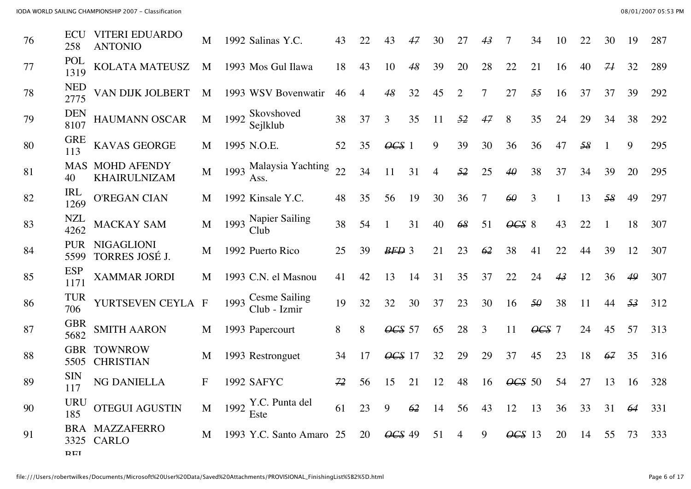| 76 | <b>ECU</b><br>258  | <b>VITERI EDUARDO</b><br><b>ANTONIO</b> | M            |      | 1992 Salinas Y.C.             | 43 | 22             | 43             | 47 | 30             |                |    |                            | 34             | 10 | 22 | 30 | 19 | 287 |
|----|--------------------|-----------------------------------------|--------------|------|-------------------------------|----|----------------|----------------|----|----------------|----------------|----|----------------------------|----------------|----|----|----|----|-----|
| 77 | POL<br>1319        | KOLATA MATEUSZ                          | M            |      | 1993 Mos Gul Ilawa            | 18 | 43             | 10             | 48 | 39             | 20             | 28 | 22                         | 21             | 16 | 40 | 71 | 32 | 289 |
| 78 | <b>NED</b><br>2775 | VAN DIJK JOLBERT                        | M            |      | 1993 WSV Bovenwatir           | 46 | $\overline{4}$ | 48             | 32 | 45             | $\overline{2}$ | 7  | 27                         | 55             | 16 | 37 | 37 | 39 | 292 |
| 79 | <b>DEN</b><br>8107 | <b>HAUMANN OSCAR</b>                    | M            | 1992 | Skovshoved<br>Sejlklub        | 38 | 37             | 3              | 35 | 11             | 52             | 47 | 8                          | 35             | 24 | 29 | 34 | 38 | 292 |
| 80 | <b>GRE</b><br>113  | <b>KAVAS GEORGE</b>                     | M            |      | 1995 N.O.E.                   | 52 | 35             | $\angle 0GS$ 1 |    | 9              | 39             | 30 | 36                         | 36             | 47 | 58 |    | 9  | 295 |
| 81 | 40                 | <b>MAS MOHD AFENDY</b><br>KHAIRULNIZAM  | M            | 1993 | Malaysia Yachting<br>Ass.     | 22 | 34             | 11             | 31 | $\overline{4}$ | 52             | 25 | $4\theta$                  | 38             | 37 | 34 | 39 | 20 | 295 |
| 82 | <b>IRL</b><br>1269 | <b>O'REGAN CIAN</b>                     | M            |      | 1992 Kinsale Y.C.             | 48 | 35             | 56             | 19 | 30             | 36             | 7  | 60                         | 3              |    | 13 | 58 | 49 | 297 |
| 83 | <b>NZL</b><br>4262 | MACKAY SAM                              | M            | 1993 | Napier Sailing<br>Club        | 38 | 54             |                | 31 | 40             | 68             | 51 | $\angle 0$ $\angle 8$      |                | 43 | 22 |    | 18 | 307 |
| 84 | <b>PUR</b><br>5599 | <b>NIGAGLIONI</b><br>TORRES JOSÉ J.     | M            |      | 1992 Puerto Rico              | 25 | 39             | $BFD$ 3        |    | 21             | 23             | 62 | 38                         | 41             | 22 | 44 | 39 | 12 | 307 |
| 85 | <b>ESP</b><br>1171 | <b>XAMMAR JORDI</b>                     | M            |      | 1993 C.N. el Masnou           | 41 | 42             | 13             | 14 | 31             | 35             | 37 | 22                         | 24             | 43 | 12 | 36 | 49 | 307 |
| 86 | <b>TUR</b><br>706  | YURTSEVEN CEYLA                         | $\mathbf{F}$ | 1993 | Cesme Sailing<br>Club - Izmir | 19 | 32             | 32             | 30 | 37             | 23             | 30 | 16                         | $5\theta$      | 38 | 11 | 44 | 53 | 312 |
| 87 | <b>GBR</b><br>5682 | <b>SMITH AARON</b>                      | M            |      | 1993 Papercourt               | 8  | 8              | $\angle$ CS 57 |    | 65             | 28             | 3  | 11                         | $\angle 0GS$ 7 |    | 24 | 45 | 57 | 313 |
| 88 | <b>GBR</b><br>5505 | <b>TOWNROW</b><br><b>CHRISTIAN</b>      | M            |      | 1993 Restronguet              | 34 | 17             | $\angle$ CS 17 |    | 32             | 29             | 29 | 37                         | 45             | 23 | 18 | 67 | 35 | 316 |
| 89 | <b>SIN</b><br>117  | NG DANIELLA                             | F            |      | <b>1992 SAFYC</b>             | 72 | 56             | 15             | 21 | 12             | 48             | 16 | $\angle 665$ 50            |                | 54 | 27 | 13 | 16 | 328 |
| 90 | <b>URU</b><br>185  | <b>OTEGUI AGUSTIN</b>                   | M            |      | 1992 Y.C. Punta del<br>Este   | 61 | 23             | 9              | 62 | 14             | 56             | 43 | 12                         | 13             | 36 | 33 | 31 | 64 | 331 |
| 91 | BRA<br>3325        | <b>MAZZAFERRO</b><br><b>CARLO</b>       | M            |      | 1993 Y.C. Santo Amaro         | 25 | 20             | $\angle$       | 49 | 51             | 4              | 9  | $\overline{\text{OCS}}$ 13 |                | 20 | 14 | 55 | 73 | 333 |
|    | DEI                |                                         |              |      |                               |    |                |                |    |                |                |    |                            |                |    |    |    |    |     |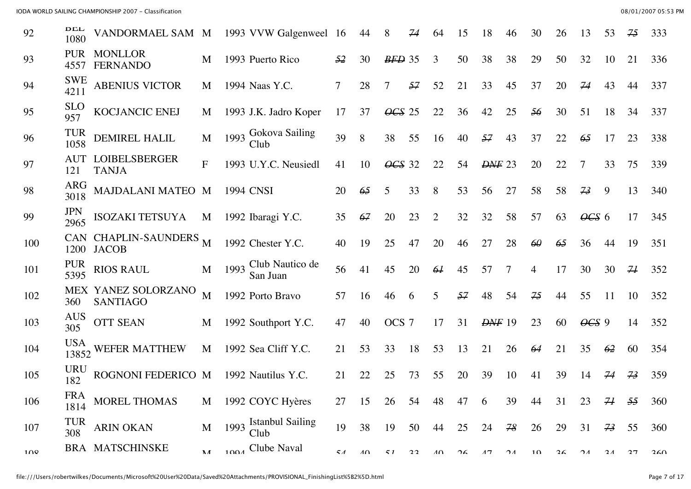| 92              | DĽL<br>1080         | VANDORMAEL SAM M                       |              |                  | 1993 VVW Galgenweel 16           |    | 44          | 8               | 74 | 64          | 15 | 18            | 46                      | 30 | 26 | 13             | 53             | 75 | 333 |
|-----------------|---------------------|----------------------------------------|--------------|------------------|----------------------------------|----|-------------|-----------------|----|-------------|----|---------------|-------------------------|----|----|----------------|----------------|----|-----|
| 93              | <b>PUR</b><br>4557  | <b>MONLLOR</b><br><b>FERNANDO</b>      | M            |                  | 1993 Puerto Rico                 | 52 | 30          | $BFD$ 35        |    | 3           | 50 | 38            | 38                      | 29 | 50 | 32             | 10             | 21 | 336 |
| 94              | <b>SWE</b><br>4211  | <b>ABENIUS VICTOR</b>                  | M            |                  | 1994 Naas Y.C.                   | 7  | 28          | 7               | 57 | 52          | 21 | 33            | 45                      | 37 | 20 | 74             | 43             | 44 | 337 |
| 95              | <b>SLO</b><br>957   | KOCJANCIC ENEJ                         | M            |                  | 1993 J.K. Jadro Koper            | 17 | 37          | $\angle 4GS$ 25 |    | 22          | 36 | 42            | 25                      | 56 | 30 | 51             | 18             | 34 | 337 |
| 96              | <b>TUR</b><br>1058  | <b>DEMIREL HALIL</b>                   | M            | 1993             | Gokova Sailing<br>Club           | 39 | 8           | 38              | 55 | 16          | 40 | 57            | 43                      | 37 | 22 | 65             | 17             | 23 | 338 |
| 97              | <b>AUT</b><br>121   | <b>LOIBELSBERGER</b><br><b>TANJA</b>   | $F_{\rm}$    |                  | 1993 U.Y.C. Neusiedl             | 41 | 10          | $\angle$ CS 32  |    | 22          | 54 | <b>DNF</b> 23 |                         | 20 | 22 |                | 33             | 75 | 339 |
| 98              | <b>ARG</b><br>3018  | MAJDALANI MATEO M                      |              | <b>1994 CNSI</b> |                                  | 20 | 65          | 5               | 33 | 8           | 53 | 56            | 27                      | 58 | 58 | 73             | 9              | 13 | 340 |
| 99              | <b>JPN</b><br>2965  | ISOZAKI TETSUYA                        | M            |                  | 1992 Ibaragi Y.C.                | 35 | 67          | 20              | 23 | 2           | 32 | 32            | 58                      | 57 | 63 | $\angle 665$ 6 |                | 17 | 345 |
| 100             | 1200                | CAN CHAPLIN-SAUNDERS<br><b>JACOB</b>   | M            |                  | 1992 Chester Y.C.                | 40 | 19          | 25              | 47 | 20          | 46 | 27            | 28                      | 60 | 65 | 36             | 44             | 19 | 351 |
| 101             | <b>PUR</b><br>5395  | <b>RIOS RAUL</b>                       | M            |                  | 1993 Club Nautico de<br>San Juan | 56 | 41          | 45              | 20 | 64          | 45 | 57            | 7                       | 4  | 17 | 30             | 30             | 71 | 352 |
| 102             | 360                 | MEX YANEZ SOLORZANO<br><b>SANTIAGO</b> | M            |                  | 1992 Porto Bravo                 | 57 | 16          | 46              | 6  | 5           | 57 | 48            | 54                      | 75 | 44 | 55             | 11             | 10 | 352 |
| 103             | <b>AUS</b><br>305   | <b>OTT SEAN</b>                        | M            |                  | 1992 Southport Y.C.              | 47 | 40          | OCS 7           |    | 17          | 31 | $D\!N\!F$ 19  |                         | 23 | 60 | $\theta$ CS 9  |                | 14 | 352 |
| 104             | <b>USA</b><br>13852 | WEFER MATTHEW                          | M            |                  | 1992 Sea Cliff Y.C.              | 21 | 53          | 33              | 18 | 53          | 13 | 21            | 26                      | 64 | 21 | 35             | 62             | 60 | 354 |
| 105             | <b>URU</b><br>182   | ROGNONI FEDERICO M                     |              |                  | 1992 Nautilus Y.C.               | 21 | 22          | 25              | 73 | 55          | 20 | 39            | 10                      | 41 | 39 | 14             | 74             | 73 | 359 |
| 106             | <b>FRA</b><br>1814  | MOREL THOMAS                           | M            |                  | 1992 COYC Hyères                 | 27 | 15          | 26              | 54 | 48          | 47 | 6             | 39                      | 44 | 31 | 23             | 74             | 55 | 360 |
| 107             | <b>TUR</b><br>308   | <b>ARIN OKAN</b>                       | M            |                  | 1993 Istanbul Sailing<br>Club    | 19 | 38          | 19              | 50 | 44          | 25 | 24            | 78                      | 26 | 29 | 31             | 73             | 55 | 360 |
| 10 <sup>Q</sup> |                     | <b>BRA MATSCHINSKE</b>                 | $\mathbf{M}$ |                  | 1004 Clube Naval                 | 51 | $\Lambda$ 0 | 51              | 22 | $\Lambda$ 0 | 26 | 17            | $\mathcal{D}$ $\Lambda$ | 10 | 26 | $\gamma_A$     | 2 <sub>A</sub> | 27 | 260 |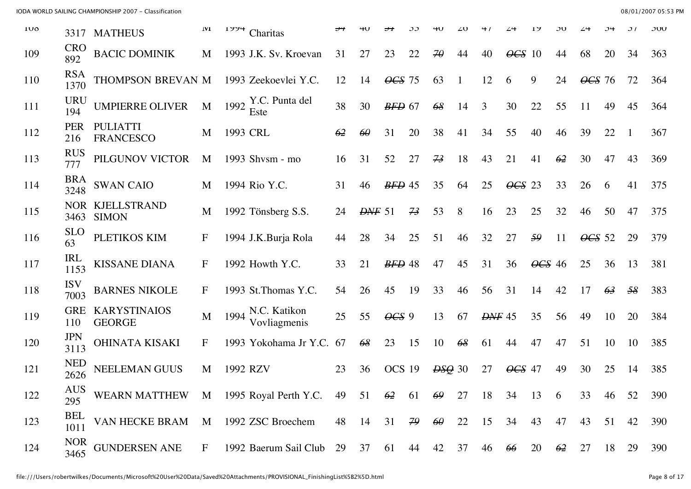| <b>100</b> |                    | 3317 MATHEUS                                   | 1 <b>VI</b>  | エフフサ     | Charitas                          |    |                     |                |            |               |    |               |                 |             | эv |                  |    | ا ن | JUU |
|------------|--------------------|------------------------------------------------|--------------|----------|-----------------------------------|----|---------------------|----------------|------------|---------------|----|---------------|-----------------|-------------|----|------------------|----|-----|-----|
| 109        | <b>CRO</b><br>892  | <b>BACIC DOMINIK</b>                           | M            |          | 1993 J.K. Sv. Kroevan             | 31 | 27                  | 23             | 22         | $\mathcal{H}$ | 44 | 40            | $\angle$ CS 10  |             | 44 | 68               | 20 | 34  | 363 |
| 110        | <b>RSA</b><br>1370 | THOMPSON BREVAN M                              |              |          | 1993 Zeekoevlei Y.C.              | 12 | 14                  | $\angle$ CS 75 |            | 63            |    | 12            | 6               | 9           | 24 | $\angle 0$ CS 76 |    | 72  | 364 |
| 111        | <b>URU</b><br>194  | <b>UMPIERRE OLIVER</b>                         | M            | 1992     | Y.C. Punta del<br>Este            | 38 | 30                  | $BFD$ 67       |            | 68            | 14 | 3             | 30              | 22          | 55 | 11               | 49 | 45  | 364 |
| 112        | <b>PER</b><br>216  | <b>PULIATTI</b><br><b>FRANCESCO</b>            | M            | 1993 CRL |                                   | 62 | $\theta$            | 31             | 20         | 38            | 41 | 34            | 55              | 40          | 46 | 39               | 22 |     | 367 |
| 113        | <b>RUS</b><br>777  | PILGUNOV VICTOR                                | M            |          | 1993 Shvsm - mo                   | 16 | 31                  | 52             | 27         | 73            | 18 | 43            | 21              | 41          | 62 | 30               | 47 | 43  | 369 |
| 114        | <b>BRA</b><br>3248 | <b>SWAN CAIO</b>                               | M            |          | 1994 Rio Y.C.                     | 31 | 46                  | $BFD$ 45       |            | 35            | 64 | 25            | $\angle 4GS$ 23 |             | 33 | 26               | 6  | 41  | 375 |
| 115        | 3463               | NOR KJELLSTRAND<br><b>SIMON</b>                | M            |          | 1992 Tönsberg S.S.                | 24 | $D\!\!\!\!\perp$ 51 |                | 73         | 53            | 8  | 16            | 23              | 25          | 32 | 46               | 50 | 47  | 375 |
| 116        | <b>SLO</b><br>63   | PLETIKOS KIM                                   | F            |          | 1994 J.K.Burja Rola               | 44 | 28                  | 34             | 25         | 51            | 46 | 32            | 27              | 59          | 11 | $\angle 665$ 52  |    | 29  | 379 |
| 117        | IRL<br>1153        | <b>KISSANE DIANA</b>                           | $\mathbf{F}$ |          | 1992 Howth Y.C.                   | 33 | 21                  | $BFD$ 48       |            | 47            | 45 | 31            | 36              | $\angle 46$ |    | 25               | 36 | 13  | 381 |
| 118        | <b>ISV</b><br>7003 | <b>BARNES NIKOLE</b>                           | $\mathbf F$  |          | 1993 St.Thomas Y.C.               | 54 | 26                  | 45             | 19         | 33            | 46 | 56            | 31              | 14          | 42 | 17               | 63 | 58  | 383 |
| 119        | <b>GRE</b><br>110  | <b>KARYSTINAIOS</b><br><b>GEORGE</b>           | M            |          | 1994 N.C. Katikon<br>Vovliagmenis | 25 | 55                  | $\angle 9$     |            | 13            | 67 | <b>DNF</b> 45 |                 | 35          | 56 | 49               | 10 | 20  | 384 |
| 120        | <b>JPN</b><br>3113 | <b>OHINATA KISAKI</b>                          | F            |          | 1993 Yokohama Jr Y.C.             | 67 | 68                  | 23             | 15         | 10            | 68 | 61            | 44              | 47          | 47 | 51               | 10 | 10  | 385 |
| 121        | <b>NED</b><br>2626 | <b>NEELEMAN GUUS</b>                           | M            | 1992 RZV |                                   | 23 | 36                  | OCS 19         |            | $ESQ$ 30      |    | 27            | $\angle$ CS 47  |             | 49 | 30               | 25 | 14  | 385 |
| 122        | <b>AUS</b><br>295  | WEARN MATTHEW M 1995 Royal Perth Y.C. 49 51 62 |              |          |                                   |    |                     |                | 61         | 69            | 27 | 18            | 34              | 13          | 6  | 33               | 46 | 52  | 390 |
| 123        | <b>BEL</b><br>1011 | VAN HECKE BRAM                                 | M            |          | 1992 ZSC Broechem                 | 48 | 14                  | 31             | $79 \t 60$ |               | 22 | 15            | 34              | 43          | 47 | 43               | 51 | 42  | 390 |
| 124        | <b>NOR</b><br>3465 | <b>GUNDERSEN ANE</b>                           | $\mathbf{F}$ |          | 1992 Baerum Sail Club 29 37       |    |                     | 61             | 44         | 42            | 37 | 46            | 66              | 20          | 62 | 27               | 18 | 29  | 390 |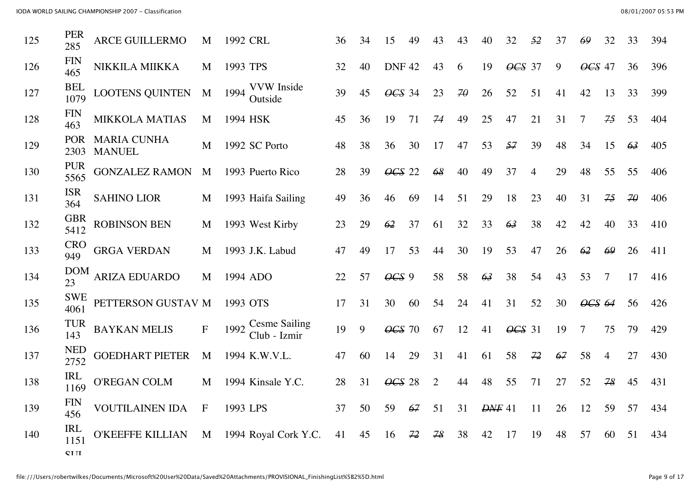| 125 | <b>PER</b><br>285  | <b>ARCE GUILLERMO</b>               | M            | 1992 CRL                                     | 36 | 34 | 15                         | 49 | 43             | 43        | 40           | 32             | 52             | 37 |        | 32 | 33 | 394 |
|-----|--------------------|-------------------------------------|--------------|----------------------------------------------|----|----|----------------------------|----|----------------|-----------|--------------|----------------|----------------|----|--------|----|----|-----|
| 126 | <b>FIN</b><br>465  | NIKKILA MIIKKA                      | M            | 1993 TPS                                     | 32 | 40 | <b>DNF42</b>               |    | 43             | 6         | 19           | $\angle$ CS 37 |                | 9  | OCS 47 |    | 36 | 396 |
| 127 | <b>BEL</b><br>1079 | <b>LOOTENS QUINTEN</b>              | M            | <b>VVW</b> Inside<br>1994<br>Outside         | 39 | 45 | $\overline{\text{OCS}}$ 34 |    | 23             | $7\theta$ | 26           | 52             | 51             | 41 | 42     | 13 | 33 | 399 |
| 128 | <b>FIN</b><br>463  | <b>MIKKOLA MATIAS</b>               | M            | 1994 HSK                                     | 45 | 36 | 19                         | 71 | 74             | 49        | 25           | 47             | 21             | 31 |        | 75 | 53 | 404 |
| 129 | <b>POR</b><br>2303 | <b>MARIA CUNHA</b><br><b>MANUEL</b> | M            | 1992 SC Porto                                | 48 | 38 | 36                         | 30 | 17             | 47        | 53           | 57             | 39             | 48 | 34     | 15 | 63 | 405 |
| 130 | <b>PUR</b><br>5565 | <b>GONZALEZ RAMON</b>               | M            | 1993 Puerto Rico                             | 28 | 39 | $\angle 4GS$ 22            |    | 68             | 40        | 49           | 37             | $\overline{4}$ | 29 | 48     | 55 | 55 | 406 |
| 131 | <b>ISR</b><br>364  | <b>SAHINO LIOR</b>                  | M            | 1993 Haifa Sailing                           | 49 | 36 | 46                         | 69 | 14             | 51        | 29           | 18             | 23             | 40 | 31     | 75 | 70 | 406 |
| 132 | <b>GBR</b><br>5412 | <b>ROBINSON BEN</b>                 | M            | 1993 West Kirby                              | 23 | 29 | 62                         | 37 | 61             | 32        | 33           | 63             | 38             | 42 | 42     | 40 | 33 | 410 |
| 133 | <b>CRO</b><br>949  | <b>GRGA VERDAN</b>                  | M            | 1993 J.K. Labud                              | 47 | 49 | 17                         | 53 | 44             | 30        | 19           | 53             | 47             | 26 | 62     | 69 | 26 | 411 |
| 134 | <b>DOM</b><br>23   | <b>ARIZA EDUARDO</b>                | M            | 1994 ADO                                     | 22 | 57 | $\angle 9$                 |    | 58             | 58        | 63           | 38             | 54             | 43 | 53     | 7  | 17 | 416 |
| 135 | <b>SWE</b><br>4061 | PETTERSON GUSTAV M                  |              | 1993 OTS                                     | 17 | 31 | 30                         | 60 | 54             | 24        | 41           | 31             | 52             | 30 | OCS 64 |    | 56 | 426 |
| 136 | <b>TUR</b><br>143  | <b>BAYKAN MELIS</b>                 | $\mathbf F$  | <b>Cesme Sailing</b><br>1992<br>Club - Izmir | 19 | 9  | $\angle$ CS 70             |    | 67             | 12        | 41           | $\angle$ CS 31 |                | 19 | 7      | 75 | 79 | 429 |
| 137 | <b>NED</b><br>2752 | <b>GOEDHART PIETER</b>              | M            | 1994 K.W.V.L.                                | 47 | 60 | 14                         | 29 | 31             | 41        | 61           | 58             | 72             | 67 | 58     | 4  | 27 | 430 |
| 138 | <b>IRL</b><br>1169 | <b>O'REGAN COLM</b>                 | M            | 1994 Kinsale Y.C.                            | 28 | 31 | $\angle$ CS 28             |    | $\overline{2}$ | 44        | 48           | 55             | 71             | 27 | 52     | 78 | 45 | 431 |
| 139 | <b>FIN</b><br>456  | <b>VOUTILAINEN IDA</b>              | $\mathbf{F}$ | 1993 LPS                                     | 37 | 50 | 59                         | 67 | 51             | 31        | $D\!N\!F$ 41 |                | 11             | 26 | 12     | 59 | 57 | 434 |
| 140 | <b>IRL</b><br>1151 | <b>O'KEEFFE KILLIAN</b>             | M            | 1994 Royal Cork Y.C.                         | 41 | 45 | 16                         | 72 | 78             | 38        | 42           | 17             | 19             | 48 | 57     | 60 | 51 | 434 |
|     | <b>CTIT</b>        |                                     |              |                                              |    |    |                            |    |                |           |              |                |                |    |        |    |    |     |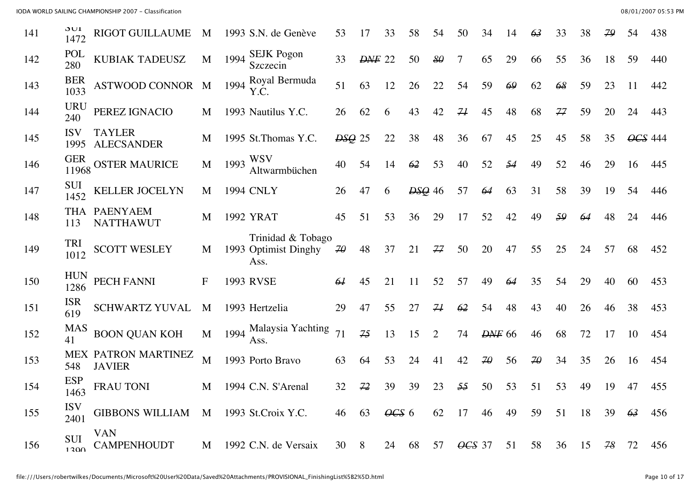| 141 | JUI<br>1472         | <b>RIGOT GUILLAUME</b>                      | M         |      | 1993 S.N. de Genève                               | 53                  |                     | 33                               | 58          | 54 | 50    | 34                   | 14    | 63                  | 33 | 38 | 79            | 54      | 438 |
|-----|---------------------|---------------------------------------------|-----------|------|---------------------------------------------------|---------------------|---------------------|----------------------------------|-------------|----|-------|----------------------|-------|---------------------|----|----|---------------|---------|-----|
| 142 | POL<br>280          | KUBIAK TADEUSZ                              | M         | 1994 | <b>SEJK Pogon</b><br>Szczecin                     | 33                  | <b>DNF</b> 22       |                                  | 50          | 80 | 7     | 65                   | 29    | 66                  | 55 | 36 | 18            | 59      | 440 |
| 143 | <b>BER</b><br>1033  | <b>ASTWOOD CONNOR</b>                       | M         | 1994 | Royal Bermuda<br>Y.C.                             | 51                  | 63                  | 12                               | 26          | 22 | 54    | 59                   | 69    | 62                  | 68 | 59 | 23            | 11      | 442 |
| 144 | <b>URU</b><br>240   | PEREZ IGNACIO                               | M         |      | 1993 Nautilus Y.C.                                | 26                  | 62                  | 6                                | 43          | 42 | 71    | 45                   | 48    | 68                  | 77 | 59 | 20            | 24      | 443 |
| 145 | <b>ISV</b><br>1995  | <b>TAYLER</b><br><b>ALECSANDER</b>          | M         |      | 1995 St.Thomas Y.C.                               | $ESQ$ 25            |                     | 22                               | 38          | 48 | 36    | 67                   | 45    | 25                  | 45 | 58 | 35            | OCS 444 |     |
| 146 | <b>GER</b><br>11968 | <b>OSTER MAURICE</b>                        | M         | 1993 | <b>WSV</b><br>Altwarmbüchen                       | 40                  | 54                  | 14                               | 62          | 53 | 40    | 52                   | 54    | 49                  | 52 | 46 | 29            | 16      | 445 |
| 147 | <b>SUI</b><br>1452  | <b>KELLER JOCELYN</b>                       | M         |      | <b>1994 CNLY</b>                                  | 26                  | 47                  | 6                                | $B_{29}$ 46 |    | 57    | 64                   | 63    | 31                  | 58 | 39 | 19            | 54      | 446 |
| 148 | THA<br>113          | <b>PAENYAEM</b><br><b>NATTHAWUT</b>         | M         |      | <b>1992 YRAT</b>                                  | 45                  | 51                  | 53                               | 36          | 29 | 17    | 52                   | 42    | 49                  | 59 | 64 | 48            | 24      | 446 |
| 149 | TRI<br>1012         | <b>SCOTT WESLEY</b>                         | M         |      | Trinidad & Tobago<br>1993 Optimist Dinghy<br>Ass. | $\mathcal{A}\theta$ | 48                  | 37                               | 21          | 77 | 50    | 20                   | 47    | 55                  | 25 | 24 | 57            | 68      | 452 |
| 150 | <b>HUN</b><br>1286  | PECH FANNI                                  | $F_{\rm}$ |      | 1993 RVSE                                         | 64                  | 45                  | 21                               | 11          | 52 | 57    | 49                   | 64    | 35                  | 54 | 29 | 40            | 60      | 453 |
| 151 | <b>ISR</b><br>619   | SCHWARTZ YUVAL                              | M         |      | 1993 Hertzelia                                    | 29                  | 47                  | 55                               | 27          | 74 | 62    | 54                   | 48    | 43                  | 40 | 26 | 46            | 38      | 453 |
| 152 | <b>MAS</b><br>41    | <b>BOON QUAN KOH</b>                        | M         | 1994 | Malaysia Yachting<br>Ass.                         | 71                  | 75                  | 13                               | 15          | 2  | 74    | <b>DNF</b> 66        |       | 46                  | 68 | 72 | 17            | 10      | 454 |
| 153 | 548                 | <b>MEX PATRON MARTINEZ</b><br><b>JAVIER</b> | M         |      | 1993 Porto Bravo                                  | 63                  | 64                  | 53                               | 24          | 41 | 42    | $\overline{4\theta}$ | 56    | $\mathcal{Z}\theta$ | 34 | 35 | 26            | 16      | 454 |
| 154 | <b>ESP</b><br>1463  | FRAU TONI                                   | M         |      | 1994 C.N. S'Arenal                                | 32                  | 72                  | 39                               | 39          | 23 | 55    | 50                   | 53    | 51                  | 53 | 49 | 19            | 47      | 455 |
| 155 | <b>ISV</b><br>2401  | GIBBONS WILLIAM M 1993 St.Croix Y.C.        |           |      |                                                   |                     | 46 63 $\theta$ CS 6 |                                  |             |    | 62 17 |                      | 46 49 | 59                  | 51 | 18 | $39 \quad 63$ |         | 456 |
| 156 | <b>SUI</b><br>1200  | <b>VAN</b><br><b>CAMPENHOUDT</b>            |           |      | M 1992 C.N. de Versaix                            | 30 8                |                     | 24 68 57 <del>OCS</del> 37 51 58 |             |    |       |                      |       |                     | 36 | 15 | 78 72         |         | 456 |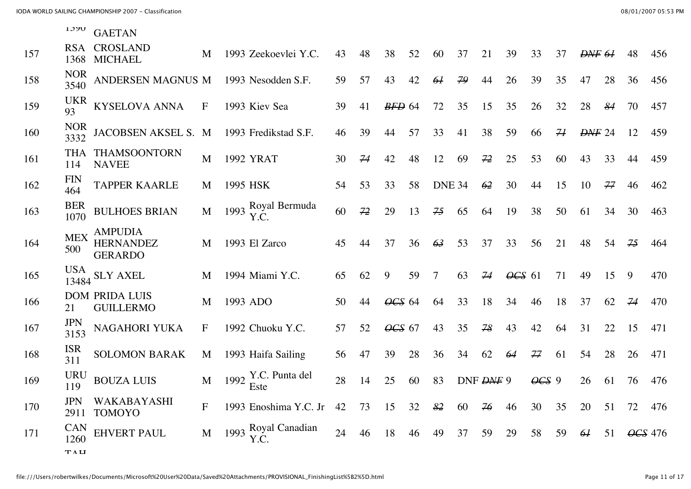| 1.) 7V | <b>GAETAN</b> |
|--------|---------------|
|--------|---------------|

| 157 | 1368               | RSA CROSLAND<br><b>MICHAEL</b>                       | M            |          | 1993 Zeekoevlei Y.C.        | 43 | 48 | 38                         | 52 | 60            | 37 | 21        | 39             | 33             | 37 | <del>DNF</del> 61 |    | 48 | 456     |
|-----|--------------------|------------------------------------------------------|--------------|----------|-----------------------------|----|----|----------------------------|----|---------------|----|-----------|----------------|----------------|----|-------------------|----|----|---------|
| 158 | <b>NOR</b><br>3540 | ANDERSEN MAGNUS M                                    |              |          | 1993 Nesodden S.F.          | 59 | 57 | 43                         | 42 | 64            | 79 | 44        | 26             | 39             | 35 | 47                | 28 | 36 | 456     |
| 159 | <b>UKR</b><br>93   | <b>KYSELOVA ANNA</b>                                 | $\mathbf F$  |          | 1993 Kiev Sea               | 39 | 41 | $BFD$ 64                   |    | 72            | 35 | 15        | 35             | 26             | 32 | 28                | 84 | 70 | 457     |
| 160 | <b>NOR</b><br>3332 | JACOBSEN AKSEL S. M                                  |              |          | 1993 Fredikstad S.F.        | 46 | 39 | 44                         | 57 | 33            | 41 | 38        | 59             | 66             | 71 | <b>DNF 24</b>     |    | 12 | 459     |
| 161 | <b>THA</b><br>114  | THAMSOONTORN<br><b>NAVEE</b>                         | M            |          | 1992 YRAT                   | 30 | 74 | 42                         | 48 | 12            | 69 | 72        | 25             | 53             | 60 | 43                | 33 | 44 | 459     |
| 162 | <b>FIN</b><br>464  | <b>TAPPER KAARLE</b>                                 | M            | 1995 HSK |                             | 54 | 53 | 33                         | 58 | <b>DNE 34</b> |    | 62        | 30             | 44             | 15 | 10                | 77 | 46 | 462     |
| 163 | <b>BER</b><br>1070 | <b>BULHOES BRIAN</b>                                 | M            |          | 1993 Royal Bermuda<br>Y.C.  | 60 | 72 | 29                         | 13 | 75            | 65 | 64        | 19             | 38             | 50 | 61                | 34 | 30 | 463     |
| 164 | <b>MEX</b><br>500  | <b>AMPUDIA</b><br><b>HERNANDEZ</b><br><b>GERARDO</b> | M            |          | 1993 El Zarco               | 45 | 44 | 37                         | 36 | 63            | 53 | 37        | 33             | 56             | 21 | 48                | 54 | 75 | 464     |
| 165 |                    | $\frac{13484}{13484}$ SLY AXEL                       | M            |          | 1994 Miami Y.C.             | 65 | 62 | 9                          | 59 | 7             | 63 | 74        | $\angle$ CS 61 |                | 71 | 49                | 15 | 9  | 470     |
| 166 | 21                 | <b>DOM PRIDA LUIS</b><br><b>GUILLERMO</b>            | M            |          | 1993 ADO                    | 50 | 44 | $\overline{\text{OCS}}$ 64 |    | 64            | 33 | 18        | 34             | 46             | 18 | 37                | 62 | 74 | 470     |
| 167 | <b>JPN</b><br>3153 | NAGAHORI YUKA                                        | F            |          | 1992 Chuoku Y.C.            | 57 | 52 | OCS 67                     |    | 43            | 35 | 78        | 43             | 42             | 64 | 31                | 22 | 15 | 471     |
| 168 | <b>ISR</b><br>311  | <b>SOLOMON BARAK</b>                                 | M            |          | 1993 Haifa Sailing          | 56 | 47 | 39                         | 28 | 36            | 34 | 62        | 64             | 77             | 61 | 54                | 28 | 26 | 471     |
| 169 | <b>URU</b><br>119  | <b>BOUZA LUIS</b>                                    | M            |          | 1992 Y.C. Punta del<br>Este | 28 | 14 | 25                         | 60 | 83            |    | DNF DNF 9 |                | $\angle 0GS$ 9 |    | 26                | 61 | 76 | 476     |
| 170 | <b>JPN</b><br>2911 | WAKABAYASHI<br><b>TOMOYO</b>                         | $\mathbf{F}$ |          | 1993 Enoshima Y.C. Jr       | 42 | 73 | 15                         | 32 | 82            | 60 | 76        | 46             | 30             | 35 | 20                | 51 | 72 | 476     |
| 171 | <b>CAN</b><br>1260 | <b>EHVERT PAUL</b>                                   | M            |          | 1993 Royal Canadian<br>Y.C. | 24 | 46 | 18                         | 46 | 49            | 37 | 59        | 29             | 58             | 59 | 64                | 51 |    | OCS 476 |
|     | TAU                |                                                      |              |          |                             |    |    |                            |    |               |    |           |                |                |    |                   |    |    |         |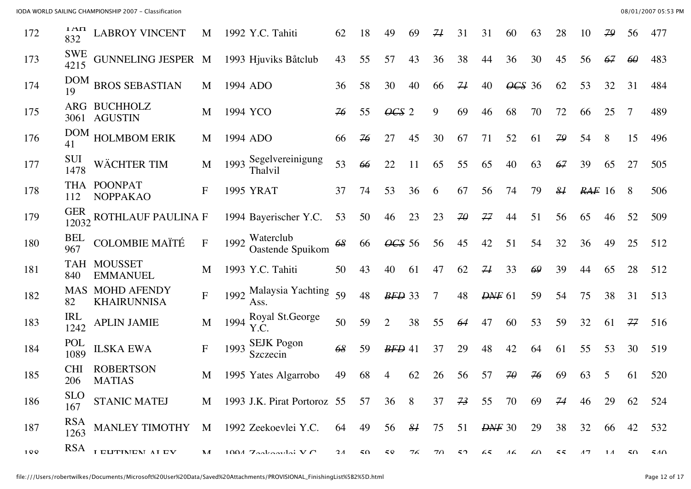| 172   | $1 \Delta \Pi$<br>832 | <b>LABROY VINCENT</b>                    | M                |      | 1992 Y.C. Tahiti                 | 62         | 18 | 49             | 69             | 74 | 31                  | 31                                                                              | 60                  | 63         | 28            | 10        | 79         | 56       | 477        |
|-------|-----------------------|------------------------------------------|------------------|------|----------------------------------|------------|----|----------------|----------------|----|---------------------|---------------------------------------------------------------------------------|---------------------|------------|---------------|-----------|------------|----------|------------|
| 173   | <b>SWE</b><br>4215    | <b>GUNNELING JESPER M</b>                |                  |      | 1993 Hjuviks Båtelub             | 43         | 55 | 57             | 43             | 36 | 38                  | 44                                                                              | 36                  | 30         | 45            | 56        | 67         | $\theta$ | 483        |
| 174   | <b>DOM</b><br>19      | <b>BROS SEBASTIAN</b>                    | M                |      | 1994 ADO                         | 36         | 58 | 30             | 40             | 66 | 71                  | 40                                                                              | $\angle$ CS 36      |            | 62            | 53        | 32         | 31       | 484        |
| 175   |                       | ARG BUCHHOLZ<br>3061 AGUSTIN             | M                |      | 1994 YCO                         | 76         | 55 | $\angle 4GS$ 2 |                | 9  | 69                  | 46                                                                              | 68                  | 70         | 72            | 66        | 25         | 7        | 489        |
| 176   | <b>DOM</b><br>41      | <b>HOLMBOM ERIK</b>                      | M                |      | 1994 ADO                         | 66         | 76 | 27             | 45             | 30 | 67                  | 71                                                                              | 52                  | 61         | 79            | 54        | 8          | 15       | 496        |
| 177   | SUI<br>1478           | WÄCHTER TIM                              | M                |      | 1993 Segelvereinigung<br>Thalvil | 53         | 66 | 22             | 11             | 65 | 55                  | 65                                                                              | 40                  | 63         | 67            | 39        | 65         | 27       | 505        |
| 178   | THA<br>112            | <b>POONPAT</b><br><b>NOPPAKAO</b>        | $\boldsymbol{F}$ |      | 1995 YRAT                        | 37         | 74 | 53             | 36             | 6  | 67                  | 56                                                                              | 74                  | 79         | $\frac{8}{4}$ | $RAF$ 16  |            | 8        | 506        |
| 179   | <b>GER</b>            | $\frac{1}{12032}$ ROTHLAUF PAULINA F     |                  |      | 1994 Bayerischer Y.C.            | 53         | 50 | 46             | 23             | 23 | $\mathcal{Z}\theta$ | 77                                                                              | 44                  | 51         | 56            | 65        | 46         | 52       | 509        |
| 180   | <b>BEL</b><br>967     | <b>COLOMBIE MAÏTÉ</b>                    | $\mathbf F$      | 1992 | Waterclub<br>Oastende Spuikom    | 68         | 66 | OCS 56         |                | 56 | 45                  | 42                                                                              | 51                  | 54         | 32            | 36        | 49         | 25       | 512        |
| 181   | TAH<br>840            | <b>MOUSSET</b><br><b>EMMANUEL</b>        | M                |      | 1993 Y.C. Tahiti                 | 50         | 43 | 40             | 61             | 47 | 62                  | $\mathcal{H}$                                                                   | 33                  | 69         | 39            | 44        | 65         | 28       | 512        |
| 182   | <b>MAS</b><br>82      | <b>MOHD AFENDY</b><br><b>KHAIRUNNISA</b> | F                |      | 1992 Malaysia Yachting<br>Ass.   | 59         | 48 | $BFD$ 33       |                | 7  | 48                  | <b>DNF</b> 61                                                                   |                     | 59         | 54            | 75        | 38         | 31       | 513        |
| 183   | <b>IRL</b><br>1242    | <b>APLIN JAMIE</b>                       | M                |      | 1994 Royal St.George<br>Y.C.     | 50         | 59 | $\overline{2}$ | 38             | 55 | 64                  | 47                                                                              | 60                  | 53         | 59            | 32        | 61         | 77       | 516        |
| 184   | POL<br>1089           | <b>ILSKA EWA</b>                         | $\boldsymbol{F}$ | 1993 | <b>SEJK</b> Pogon<br>Szczecin    | 68         | 59 | $BFD$ 41       |                | 37 | 29                  | 48                                                                              | 42                  | 64         | 61            | 55        | 53         | 30       | 519        |
| 185   | <b>CHI</b><br>206     | <b>ROBERTSON</b><br><b>MATIAS</b>        | M                |      | 1995 Yates Algarrobo             | 49         | 68 | 4              | 62             | 26 | 56                  | 57                                                                              | $\mathcal{Z}\theta$ | 76         | 69            | 63        | 5          | 61       | 520        |
| 186   | <b>SLO</b><br>167     | STANIC MATEJ                             |                  |      | M 1993 J.K. Pirat Portoroz 55    |            | 57 | 36             | 8 <sup>8</sup> | 37 | 73                  | 55                                                                              | 70                  | 69         | 74            | 46        | 29         | 62       | 524        |
| 187   | <b>RSA</b><br>1263    | <b>MANLEY TIMOTHY</b>                    | $\mathbf M$      |      | 1992 Zeekoevlei Y.C.             | 64         | 49 | 56             | 8I             | 75 | 51                  | $D\!\!\!\!\perp$ $\!\!\!\!D\!\!\!\!\perp$ $\!\!\!\!D\!\!\!\!\perp$ $\!\!\!\!30$ |                     | 29         | 38            | 32        | 66         | 42       | 532        |
| 1 Q Q |                       | RSA I ELITINEN AI EV                     | $\mathbf{M}$     |      | $1004$ $7a$ almavlai V $\Gamma$  | $2\Lambda$ | 50 | 5Q             | 76             | 70 | 52                  | 65                                                                              | $\overline{16}$     | $\epsilon$ | 55            | $\Lambda$ | $1\Lambda$ |          | $50 - 540$ |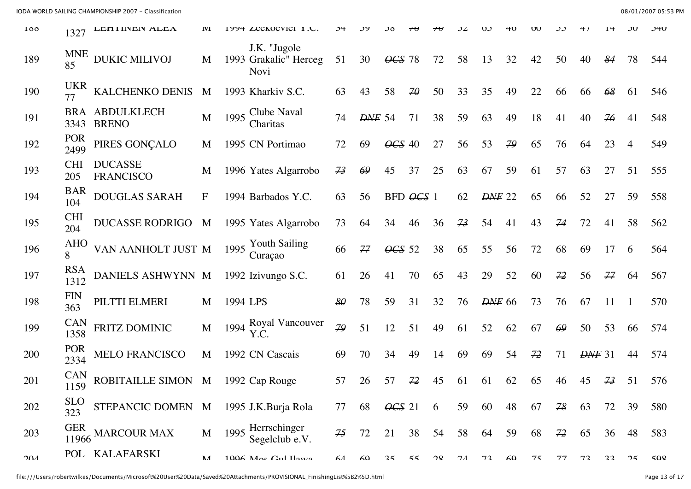| 100 | 1327                | LEHI IINEIN ALEA                   | <b>IVI</b> | 1774 LEERUEVIEI I.U.                           |    |               |                 |               |                             |    |               |              |    |    |              |    |          |     |
|-----|---------------------|------------------------------------|------------|------------------------------------------------|----|---------------|-----------------|---------------|-----------------------------|----|---------------|--------------|----|----|--------------|----|----------|-----|
| 189 | <b>MNE</b><br>85    | <b>DUKIC MILIVOJ</b>               | M          | J.K. "Jugole<br>1993 Grakalic" Herceg<br>Novi  | 51 | 30            | $\angle$ CS 78  |               | 72                          | 58 | 13            | 32           | 42 | 50 | 40           | 84 | 78       | 544 |
| 190 | <b>UKR</b>          | KALCHENKO DENIS                    | M          | 1993 Kharkiv S.C.                              | 63 | 43            | 58              | $\mathcal{H}$ | 50                          | 33 | 35            | 49           | 22 | 66 | 66           | 68 | 61       | 546 |
| 191 | BRA<br>3343         | <b>ABDULKLECH</b><br><b>BRENO</b>  | M          | Clube Naval<br>1995<br>Charitas                | 74 | <b>DNF</b> 54 |                 | 71            | 38                          | 59 | 63            | 49           | 18 | 41 | 40           | 76 | 41       | 548 |
| 192 | <b>POR</b><br>2499  | PIRES GONÇALO                      | M          | 1995 CN Portimao                               | 72 | 69            | $\angle$ CS 40  |               | 27                          | 56 | 53            | 79           | 65 | 76 | 64           | 23 | 4        | 549 |
| 193 | <b>CHI</b><br>205   | <b>DUCASSE</b><br><b>FRANCISCO</b> | M          | 1996 Yates Algarrobo                           | 73 | 69            | 45              | 37            | 25                          | 63 | 67            | 59           | 61 | 57 | 63           | 27 | 51       | 555 |
| 194 | <b>BAR</b><br>104   | <b>DOUGLAS SARAH</b>               | F          | 1994 Barbados Y.C.                             | 63 | 56            |                 | $BFD$ $OCS$ 1 |                             | 62 | <b>DNF</b> 22 |              | 65 | 66 | 52           | 27 | 59       | 558 |
| 195 | <b>CHI</b><br>204   | <b>DUCASSE RODRIGO</b>             | M          | 1995 Yates Algarrobo                           | 73 | 64            | 34              | 46            | 36                          | 73 | 54            | 41           | 43 | 74 | 72           | 41 | 58       | 562 |
| 196 | <b>AHO</b><br>8     | VAN AANHOLT JUST M                 |            | <b>Youth Sailing</b><br>1995<br>Curaçao        | 66 | 77            | $\angle 665$ 52 |               | 38                          | 65 | 55            | 56           | 72 | 68 | 69           | 17 | 6        | 564 |
| 197 | <b>RSA</b><br>1312  | DANIELS ASHWYNN M                  |            | 1992 Izivungo S.C.                             | 61 | 26            | 41              | 70            | 65                          | 43 | 29            | 52           | 60 | 72 | 56           | 77 | 64       | 567 |
| 198 | <b>FIN</b><br>363   | PILTTI ELMERI                      | M          | 1994 LPS                                       | 80 | 78            | 59              | 31            | 32                          | 76 | <b>DNF</b> 66 |              | 73 | 76 | 67           | 11 |          | 570 |
| 199 | <b>CAN</b><br>1358  | FRITZ DOMINIC                      | M          | 1994 Royal Vancouver<br>Y.C.                   | 79 | 51            | 12              | 51            | 49                          | 61 | 52            | 62           | 67 | 69 | 50           | 53 | 66       | 574 |
| 200 | POR<br>2334         | <b>MELO FRANCISCO</b>              | M          | 1992 CN Cascais                                | 69 | 70            | 34              | 49            | 14                          | 69 | 69            | 54           | 72 | 71 | $D\!N\!F$ 31 |    | 44       | 574 |
| 201 | <b>CAN</b><br>1159  | ROBITAILLE SIMON                   | M          | 1992 Cap Rouge                                 | 57 | 26            | 57              | 72            | 45                          | 61 | 61            | 62           | 65 | 46 | 45           | 73 | 51       | 576 |
| 202 | <b>SLO</b><br>323   | STEPANCIC DOMEN M                  |            | 1995 J.K.Burja Rola                            | 77 | 68            | $\angle 0GS$ 21 |               | 6                           | 59 | 60            | 48           | 67 | 78 | 63           | 72 | 39       | 580 |
| 203 | <b>GER</b><br>11966 | <b>MARCOUR MAX</b>                 | M          | 1995 Herrschinger<br>Segelclub e.V.            | 75 | 72            | 21              | 38            | 54                          | 58 | 64            | 59           | 68 | 72 | 65           | 36 | 48       | 583 |
| 201 |                     | POL KALAFARSKI                     | NЛ         | $1006$ $M_{\odot}$ $C_{\rm H}$ $I_{\rm{avro}}$ | 61 | $\mathcal{L}$ | 25              | 55            | $\mathcal{P}^{\mathcal{Q}}$ | 71 | 72            | $\mathsf{K}$ | 75 | 77 | 72           | 22 | $\gamma$ | 500 |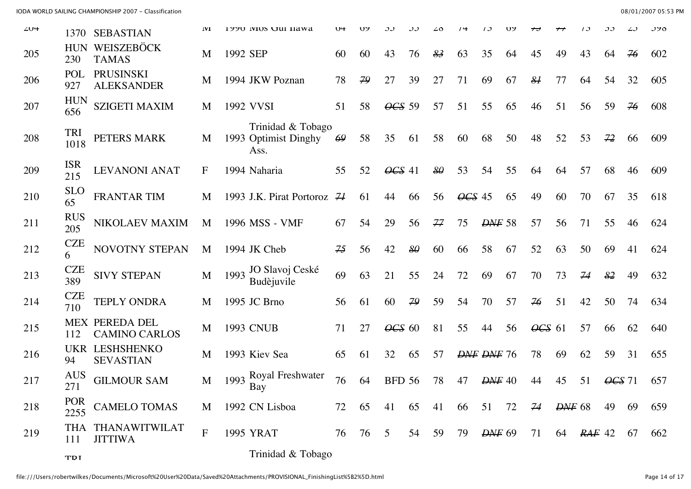IODA WORLD SAILING CHAMPIONSHIP 2007 - Classification 08/01/2007 05:53 PM

| $\angle$ U <sup><math>\pm</math></sup> | 1370               | <b>SEBASTIAN</b>                              | 1V1          |          | 1770 IVIOS UUI HAWA                               | 1 J H | いっ   |                |    |           |                |               |    |                |              |               |                |    | <b>JZ0</b> |
|----------------------------------------|--------------------|-----------------------------------------------|--------------|----------|---------------------------------------------------|-------|------|----------------|----|-----------|----------------|---------------|----|----------------|--------------|---------------|----------------|----|------------|
| 205                                    | <b>HUN</b><br>230  | WEISZEBÖCK<br><b>TAMAS</b>                    | M            | 1992 SEP |                                                   | 60    | 60   | 43             | 76 | 83        | 63             | 35            | 64 | 45             | 49           | 43            | 64             | 76 | 602        |
| 206                                    | POL<br>927         | <b>PRUSINSKI</b><br><b>ALEKSANDER</b>         | M            |          | 1994 JKW Poznan                                   | 78    | 79   | 27             | 39 | 27        | 71             | 69            | 67 | 8 <sup>1</sup> | 77           | 64            | 54             | 32 | 605        |
| 207                                    | <b>HUN</b><br>656  | <b>SZIGETI MAXIM</b>                          | M            |          | 1992 VVSI                                         | 51    | 58   | $\angle$ CS 59 |    | 57        | 51             | 55            | 65 | 46             | 51           | 56            | 59             | 76 | 608        |
| 208                                    | <b>TRI</b><br>1018 | PETERS MARK                                   | M            |          | Trinidad & Tobago<br>1993 Optimist Dinghy<br>Ass. | 69    | 58   | 35             | 61 | 58        | 60             | 68            | 50 | 48             | 52           | 53            | 72             | 66 | 609        |
| 209                                    | <b>ISR</b><br>215  | <b>LEVANONI ANAT</b>                          | $\mathbf F$  |          | 1994 Naharia                                      | 55    | 52   | $\angle 41$    |    | $8\theta$ | 53             | 54            | 55 | 64             | 64           | 57            | 68             | 46 | 609        |
| 210                                    | <b>SLO</b><br>65   | FRANTAR TIM                                   | M            |          | 1993 J.K. Pirat Portoroz $H$                      |       | 61   | 44             | 66 | 56        | $\angle$ CS 45 |               | 65 | 49             | 60           | 70            | 67             | 35 | 618        |
| 211                                    | <b>RUS</b><br>205  | NIKOLAEV MAXIM                                | M            |          | 1996 MSS - VMF                                    | 67    | 54   | 29             | 56 | 77        | 75             | <b>DNF</b> 58 |    | 57             | 56           | 71            | 55             | 46 | 624        |
| 212                                    | <b>CZE</b><br>6    | NOVOTNY STEPAN                                | M            |          | 1994 JK Cheb                                      | 75    | 56   | 42             | 80 | 60        | 66             | 58            | 67 | 52             | 63           | 50            | 69             | 41 | 624        |
| 213                                    | <b>CZE</b><br>389  | <b>SIVY STEPAN</b>                            | M            |          | 1993 JO Slavoj Ceské<br>Budèjuvile                | 69    | 63   | 21             | 55 | 24        | 72             | 69            | 67 | 70             | 73           | 74            | 82             | 49 | 632        |
| 214                                    | <b>CZE</b><br>710  | <b>TEPLY ONDRA</b>                            | M            |          | 1995 JC Brno                                      | 56    | 61   | 60             | 79 | 59        | 54             | 70            | 57 | 76             | 51           | 42            | 50             | 74 | 634        |
| 215                                    | 112                | <b>MEX PEREDA DEL</b><br><b>CAMINO CARLOS</b> | M            |          | <b>1993 CNUB</b>                                  | 71    | 27   | $\angle$ CS 60 |    | 81        | 55             | 44            | 56 | $\angle 64$ 61 |              | 57            | 66             | 62 | 640        |
| 216                                    | <b>UKR</b><br>94   | <b>LESHSHENKO</b><br><b>SEVASTIAN</b>         | M            |          | 1993 Kiev Sea                                     | 65    | 61   | 32             | 65 | 57        |                | DNF DNF 76    |    | 78             | 69           | 62            | 59             | 31 | 655        |
| 217                                    | <b>AUS</b><br>271  | <b>GILMOUR SAM</b>                            | M            | 1993     | Royal Freshwater<br>Bay                           | 76    | 64   | <b>BFD 56</b>  |    | 78        | 47             | $D\!N\!F$ 40  |    | 44             | 45           | 51            | $\angle$ CS 71 |    | 657        |
| 218                                    | <b>POR</b><br>2255 | <b>CAMELO TOMAS</b>                           | M            |          | 1992 CN Lisboa                                    | 72    | 65   | 41             | 65 | 41        | 66             | 51            | 72 | 74             | $D\!N\!F$ 68 |               | 49             | 69 | 659        |
| 219                                    | 111                | THA THANAWITWILAT<br><b>JITTIWA</b>           | $\mathbf{F}$ |          | 1995 YRAT                                         | 76    | 76 5 |                | 54 | 59        | 79             | $D\!N\!F$ 69  |    | 71             | 64           | <b>RAF</b> 42 |                | 67 | 662        |
|                                        | <b>TDI</b>         |                                               |              |          | Trinidad & Tobago                                 |       |      |                |    |           |                |               |    |                |              |               |                |    |            |

file:///Users/robertwilkes/Documents/Microsoft%20User%20Data/Saved%20Attachments/PROVISIONAL\_FinishingList%5B2%5D.html Page 14 of 17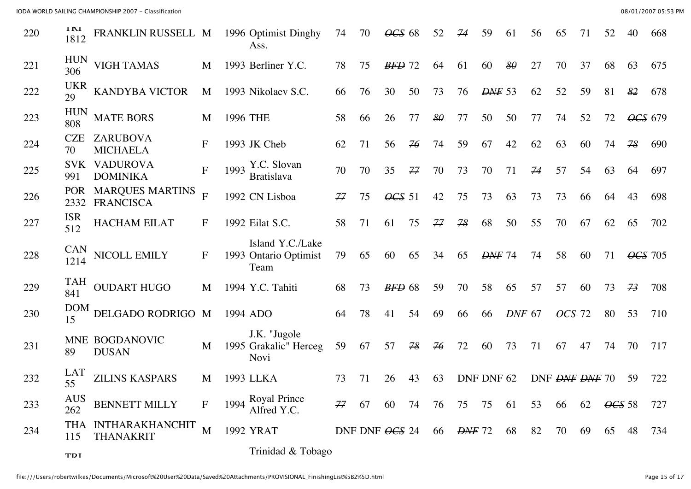IODA WORLD SAILING CHAMPIONSHIP 2007 - Classification 08/01/2007 05:53 PM

| 220 | 1 IM<br>1812       | FRANKLIN RUSSELL M                         |                  |          | 1996 Optimist Dinghy<br>Ass.                      | 74 | 70             | $\angle$ CS 68 |    | 52 | 74                | 59            | 61            | 56 | 65                         | 71 | 52                         |                | 668 |
|-----|--------------------|--------------------------------------------|------------------|----------|---------------------------------------------------|----|----------------|----------------|----|----|-------------------|---------------|---------------|----|----------------------------|----|----------------------------|----------------|-----|
| 221 | <b>HUN</b><br>306  | <b>VIGH TAMAS</b>                          | M                |          | 1993 Berliner Y.C.                                | 78 | 75             | $BFD$ 72       |    | 64 | 61                | 60            | 80            | 27 | 70                         | 37 | 68                         | 63             | 675 |
| 222 | <b>UKR</b><br>29   | <b>KANDYBA VICTOR</b>                      | M                |          | 1993 Nikolaev S.C.                                | 66 | 76             | 30             | 50 | 73 | 76                | <b>DNF</b> 53 |               | 62 | 52                         | 59 | 81                         | 82             | 678 |
| 223 | <b>HUN</b><br>808  | <b>MATE BORS</b>                           | M                | 1996 THE |                                                   | 58 | 66             | 26             | 77 | 80 | 77                | 50            | 50            | 77 | 74                         | 52 | 72                         | OCS 679        |     |
| 224 | <b>CZE</b><br>70   | ZARUBOVA<br><b>MICHAELA</b>                | $\boldsymbol{F}$ |          | 1993 JK Cheb                                      | 62 | 71             | 56             | 76 | 74 | 59                | 67            | 42            | 62 | 63                         | 60 | 74                         | 78             | 690 |
| 225 | <b>SVK</b><br>991  | <b>VADUROVA</b><br><b>DOMINIKA</b>         | ${\bf F}$        | 1993     | Y.C. Slovan<br><b>Bratislava</b>                  | 70 | 70             | 35             | 77 | 70 | 73                | 70            | 71            | 74 | 57                         | 54 | 63                         | 64             | 697 |
| 226 | <b>POR</b><br>2332 | <b>MARQUES MARTINS</b><br><b>FRANCISCA</b> | $\overline{F}$   |          | 1992 CN Lisboa                                    | 77 | 75             | $\angle$ CS 51 |    | 42 | 75                | 73            | 63            | 73 | 73                         | 66 | 64                         | 43             | 698 |
| 227 | <b>ISR</b><br>512  | <b>HACHAM EILAT</b>                        | F                |          | 1992 Eilat S.C.                                   | 58 | 71             | 61             | 75 | 77 | 78                | 68            | 50            | 55 | 70                         | 67 | 62                         | 65             | 702 |
| 228 | <b>CAN</b><br>1214 | NICOLL EMILY                               | $\mathbf{F}$     |          | Island Y.C./Lake<br>1993 Ontario Optimist<br>Team | 79 | 65             | 60             | 65 | 34 | 65                | <b>DNF</b> 74 |               | 74 | 58                         | 60 | 71                         | <b>OCS</b> 705 |     |
| 229 | TAH<br>841         | <b>OUDART HUGO</b>                         | M                |          | 1994 Y.C. Tahiti                                  | 68 | 73             | $BFD$ 68       |    | 59 | 70                | 58            | 65            | 57 | 57                         | 60 | 73                         | 73             | 708 |
| 230 | <b>DOM</b><br>15   | DELGADO RODRIGO M                          |                  |          | 1994 ADO                                          | 64 | 78             | 41             | 54 | 69 | 66                | 66            | <b>DNF</b> 67 |    | $\overline{\text{OCS}}$ 72 |    | 80                         | 53             | 710 |
| 231 | 89                 | MNE BOGDANOVIC<br><b>DUSAN</b>             | M                |          | J.K. "Jugole<br>1995 Grakalic" Herceg<br>Novi     | 59 | 67             | 57             | 78 | 76 | 72                | 60            | 73            | 71 | 67                         | 47 | 74                         | 70             | 717 |
| 232 | <b>LAT</b><br>55   | <b>ZILINS KASPARS</b>                      | M                |          | 1993 LLKA                                         | 73 | 71             | 26             | 43 | 63 |                   | DNF DNF 62    |               |    | DNF <del>DNF</del> DNF 70  |    |                            | 59             | 722 |
| 233 | <b>AUS</b><br>262  | <b>BENNETT MILLY</b>                       | $\mathbf{F}$     |          | 1994 Royal Prince<br>Alfred Y.C.                  | 77 | 67             | 60             | 74 | 76 | 75                | 75            | 61            | 53 | 66                         | 62 | $\angle$ <del>OCS</del> 58 |                | 727 |
| 234 | 115                | THA INTHARAKHANCHIT<br><b>THANAKRIT</b>    | M                |          | 1992 YRAT                                         |    | DNF DNF OCS 24 |                |    | 66 | <del>DNF</del> 72 |               | 68            | 82 | 70                         | 69 | 65                         | 48             | 734 |
|     | <b>TDI</b>         |                                            |                  |          | Trinidad & Tobago                                 |    |                |                |    |    |                   |               |               |    |                            |    |                            |                |     |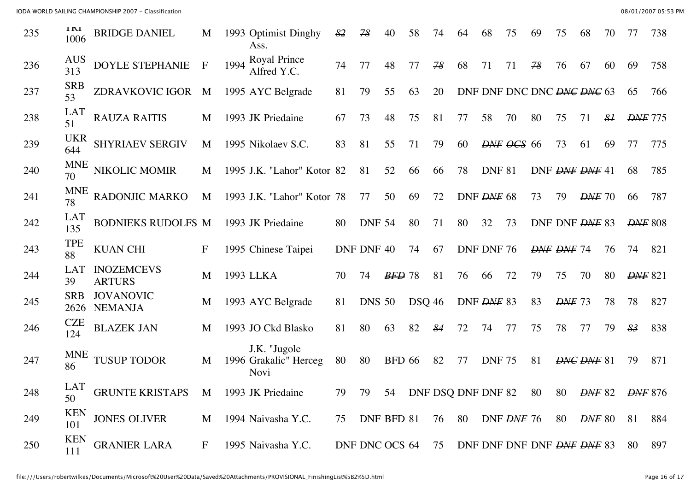IODA WORLD SAILING CHAMPIONSHIP 2007 - Classification 08/01/2007 05:53 PM

| 235 | 1 IV 1<br>1006     | <b>BRIDGE DANIEL</b>                | M            |      | 1993 Optimist Dinghy<br>Ass.                         | 82             | 78            | 40            | 58            | 74                                               | 64 | 68            | 75                     | 69 | 75            | 68                                           | 70            |                | 738 |
|-----|--------------------|-------------------------------------|--------------|------|------------------------------------------------------|----------------|---------------|---------------|---------------|--------------------------------------------------|----|---------------|------------------------|----|---------------|----------------------------------------------|---------------|----------------|-----|
| 236 | <b>AUS</b><br>313  | DOYLE STEPHANIE                     | $\mathbf{F}$ | 1994 | Royal Prince<br>Alfred Y.C.                          | 74             | 77            | 48            | 77            | 78                                               | 68 | 71            | 71                     | 78 | 76            | 67                                           | 60            | 69             | 758 |
| 237 | <b>SRB</b><br>53   | ZDRAVKOVIC IGOR                     | M            |      | 1995 AYC Belgrade                                    | 81             | 79            | 55            | 63            | 20                                               |    |               |                        |    |               | DNF DNF DNC DNC <del>DNC DNC</del> 63        |               | 65             | 766 |
| 238 | <b>LAT</b><br>51   | <b>RAUZA RAITIS</b>                 | M            |      | 1993 JK Priedaine                                    | 67             | 73            | 48            | 75            | 81                                               | 77 | 58            | 70                     | 80 | 75            | 71                                           | $\frac{8}{4}$ | <b>DNF</b> 775 |     |
| 239 | <b>UKR</b><br>644  | SHYRIAEV SERGIV                     | M            |      | 1995 Nikolaev S.C.                                   | 83             | 81            | 55            | 71            | 79                                               | 60 |               | $D\!N\!F$ $O\!C\!S$ 66 |    | 73            | 61                                           | 69            | 77             | 775 |
| 240 | <b>MNE</b><br>70   | NIKOLIC MOMIR                       | M            |      | 1995 J.K. "Lahor" Kotor 82                           |                | 81            | 52            | 66            | 66                                               | 78 | <b>DNF 81</b> |                        |    |               | DNF DNF DNF 41                               |               | 68             | 785 |
| 241 | <b>MNE</b><br>78   | RADONJIC MARKO                      | M            |      | 1993 J.K. "Lahor" Kotor 78                           |                | 77            | 50            | 69            | 72                                               |    | DNF DNF 68    |                        | 73 | 79            | $D\!\!\!\!\perp$ 70                          |               | 66             | 787 |
| 242 | <b>LAT</b><br>135  | BODNIEKS RUDOLFS M                  |              |      | 1993 JK Priedaine                                    | 80             | <b>DNF 54</b> |               | 80            | 71                                               | 80 | 32            | 73                     |    |               | DNF DNF DNF 83                               |               | <b>DNF</b> 808 |     |
| 243 | <b>TPE</b><br>88   | <b>KUAN CHI</b>                     | $\mathbf F$  |      | 1995 Chinese Taipei                                  | DNF DNF 40     |               |               | 74            | 67                                               |    | DNF DNF 76    |                        |    | DNF DNF 74    |                                              | 76            | 74             | 821 |
| 244 | <b>LAT</b><br>39   | <b>INOZEMCEVS</b><br><b>ARTURS</b>  | M            |      | 1993 LLKA                                            | 70             | 74            | $BFD$ 78      |               | 81                                               | 76 | 66            | 72                     | 79 | 75            | 70                                           | 80            | <b>DNF</b> 821 |     |
| 245 | <b>SRB</b><br>2626 | <b>JOVANOVIC</b><br><b>NEMANJA</b>  | M            |      | 1993 AYC Belgrade                                    | 81             | <b>DNS 50</b> |               | <b>DSQ 46</b> |                                                  |    | DNF DNF 83    |                        | 83 | <b>DNF</b> 73 |                                              | 78            | 78             | 827 |
| 246 | <b>CZE</b><br>124  | <b>BLAZEK JAN</b>                   | M            |      | 1993 JO Ckd Blasko                                   | 81             | 80            | 63            | 82            | 84                                               | 72 | 74            | 77                     | 75 | 78            | 77                                           | 79            | $\frac{83}{5}$ | 838 |
| 247 | <b>MNE</b><br>86   | <b>TUSUP TODOR</b>                  | M            |      | J.K. "Jugole<br>1996 Grakalic" Herceg<br><b>Novi</b> | 80             | 80            | <b>BFD 66</b> |               | 82                                               | 77 | <b>DNF 75</b> |                        | 81 |               | DNG DNF 81                                   |               | 79             | 871 |
| 248 | LAT<br>50          | GRUNTE KRISTAPS M 1993 JK Priedaine |              |      |                                                      |                |               |               |               | 79 79 54 DNF DSQ DNF DNF 82 80 80 DNF 82 DNF 876 |    |               |                        |    |               |                                              |               |                |     |
| 249 | <b>KEN</b><br>101  | <b>JONES OLIVER</b>                 | M            |      | 1994 Naivasha Y.C.                                   | 75             | DNF BFD 81    |               |               | 76                                               | 80 |               | DNF DNF 76             |    | 80            | $D\!\!\!\!\perp$ $\!\!\!\!D\!\!\!\!\perp$ 80 |               | 81             | 884 |
| 250 | <b>KEN</b><br>111  | <b>GRANIER LARA</b>                 | $\mathbf{F}$ |      | 1995 Naivasha Y.C.                                   | DNF DNC OCS 64 |               |               |               | 75                                               |    |               |                        |    |               | DNF DNF DNF DNF DNF DNF 83                   |               | 80             | 897 |